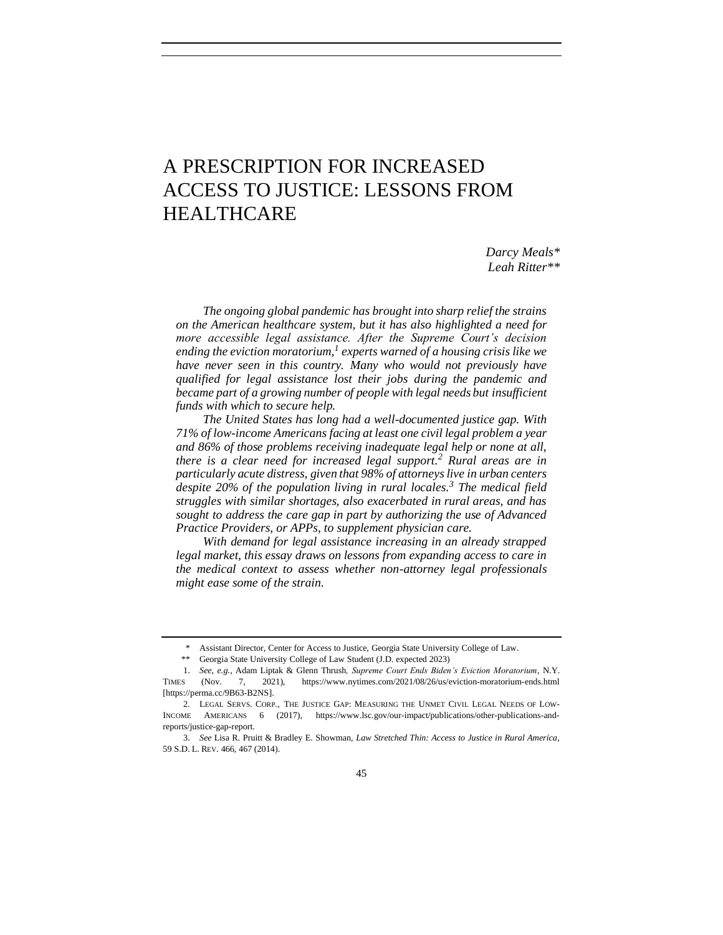# A PRESCRIPTION FOR INCREASED ACCESS TO JUSTICE: LESSONS FROM HEALTHCARE

*Darcy Meals\* Leah Ritter\*\**

*The ongoing global pandemic has brought into sharp relief the strains on the American healthcare system, but it has also highlighted a need for more accessible legal assistance. After the Supreme Court's decision ending the eviction moratorium,<sup>1</sup> experts warned of a housing crisis like we have never seen in this country. Many who would not previously have qualified for legal assistance lost their jobs during the pandemic and became part of a growing number of people with legal needs but insufficient funds with which to secure help.* 

*The United States has long had a well-documented justice gap. With 71% of low-income Americans facing at least one civil legal problem a year and 86% of those problems receiving inadequate legal help or none at all, there is a clear need for increased legal support.<sup>2</sup> Rural areas are in particularly acute distress, given that 98% of attorneys live in urban centers despite 20% of the population living in rural locales.<sup>3</sup> The medical field struggles with similar shortages, also exacerbated in rural areas, and has sought to address the care gap in part by authorizing the use of Advanced Practice Providers, or APPs, to supplement physician care.* 

*With demand for legal assistance increasing in an already strapped legal market, this essay draws on lessons from expanding access to care in the medical context to assess whether non-attorney legal professionals might ease some of the strain.*

<sup>\*</sup> Assistant Director, Center for Access to Justice, Georgia State University College of Law.

<sup>\*\*</sup> Georgia State University College of Law Student (J.D. expected 2023)

<sup>1.</sup> *See, e.g.*, Adam Liptak & Glenn Thrush*, Supreme Court Ends Biden's Eviction Moratorium*, N.Y. TIMES (Nov. 7, 2021), https://www.nytimes.com/2021/08/26/us/eviction-moratorium-ends.html [https://perma.cc/9B63-B2NS].

<sup>2.</sup> LEGAL SERVS. CORP., THE JUSTICE GAP: MEASURING THE UNMET CIVIL LEGAL NEEDS OF LOW-INCOME AMERICANS 6 (2017), https://www.lsc.gov/our-impact/publications/other-publications-andreports/justice-gap-report.

<sup>3.</sup> *See* Lisa R. Pruitt & Bradley E. Showman, *Law Stretched Thin: Access to Justice in Rural America*, 59 S.D. L. REV. 466, 467 (2014).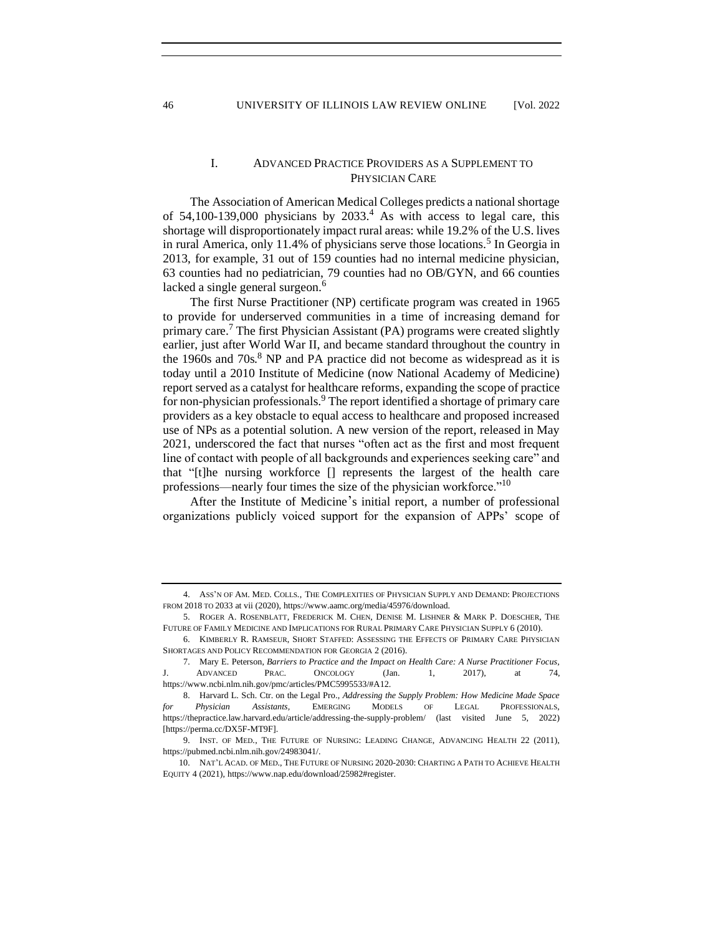## I. ADVANCED PRACTICE PROVIDERS AS A SUPPLEMENT TO PHYSICIAN CARE

The Association of American Medical Colleges predicts a national shortage of  $54,100-139,000$  physicians by  $2033<sup>4</sup>$ . As with access to legal care, this shortage will disproportionately impact rural areas: while 19.2% of the U.S. lives in rural America, only 11.4% of physicians serve those locations.<sup>5</sup> In Georgia in 2013, for example, 31 out of 159 counties had no internal medicine physician, 63 counties had no pediatrician, 79 counties had no OB/GYN, and 66 counties lacked a single general surgeon.<sup>6</sup>

<span id="page-1-1"></span><span id="page-1-0"></span>The first Nurse Practitioner (NP) certificate program was created in 1965 to provide for underserved communities in a time of increasing demand for primary care.<sup>7</sup> The first Physician Assistant (PA) programs were created slightly earlier, just after World War II, and became standard throughout the country in the 1960s and  $70s$ .<sup>8</sup> NP and PA practice did not become as widespread as it is today until a 2010 Institute of Medicine (now National Academy of Medicine) report served as a catalyst for healthcare reforms, expanding the scope of practice for non-physician professionals.<sup>9</sup> The report identified a shortage of primary care providers as a key obstacle to equal access to healthcare and proposed increased use of NPs as a potential solution. A new version of the report, released in May 2021, underscored the fact that nurses "often act as the first and most frequent line of contact with people of all backgrounds and experiences seeking care" and that "[t]he nursing workforce [] represents the largest of the health care professions—nearly four times the size of the physician workforce."<sup>10</sup>

After the Institute of Medicine's initial report, a number of professional organizations publicly voiced support for the expansion of APPs' scope of

<sup>4.</sup> ASS'N OF AM. MED. COLLS., THE COMPLEXITIES OF PHYSICIAN SUPPLY AND DEMAND: PROJECTIONS FROM 2018 TO 2033 at vii (2020), https://www.aamc.org/media/45976/download.

<sup>5.</sup> ROGER A. ROSENBLATT, FREDERICK M. CHEN, DENISE M. LISHNER & MARK P. DOESCHER, THE FUTURE OF FAMILY MEDICINE AND IMPLICATIONS FOR RURAL PRIMARY CARE PHYSICIAN SUPPLY 6 (2010).

<sup>6.</sup> KIMBERLY R. RAMSEUR, SHORT STAFFED: ASSESSING THE EFFECTS OF PRIMARY CARE PHYSICIAN SHORTAGES AND POLICY RECOMMENDATION FOR GEORGIA 2 (2016).

<sup>7.</sup> Mary E. Peterson, *Barriers to Practice and the Impact on Health Care: A Nurse Practitioner Focus*, ADVANCED PRAC. ONCOLOGY (Jan. 1, 2017), at 74, https://www.ncbi.nlm.nih.gov/pmc/articles/PMC5995533/#A12.

<sup>8.</sup> Harvard L. Sch. Ctr. on the Legal Pro., *Addressing the Supply Problem: How Medicine Made Space for Physician Assistants,* EMERGING MODELS OF LEGAL PROFESSIONALS, https://thepractice.law.harvard.edu/article/addressing-the-supply-problem/ (last visited June 5, 2022) [https://perma.cc/DX5F-MT9F].

<sup>9.</sup> INST. OF MED., THE FUTURE OF NURSING: LEADING CHANGE, ADVANCING HEALTH 22 (2011), https://pubmed.ncbi.nlm.nih.gov/24983041/.

<sup>10.</sup> NAT'L ACAD. OF MED., THE FUTURE OF NURSING 2020-2030: CHARTING A PATH TO ACHIEVE HEALTH EQUITY 4 (2021), https://www.nap.edu/download/25982#register.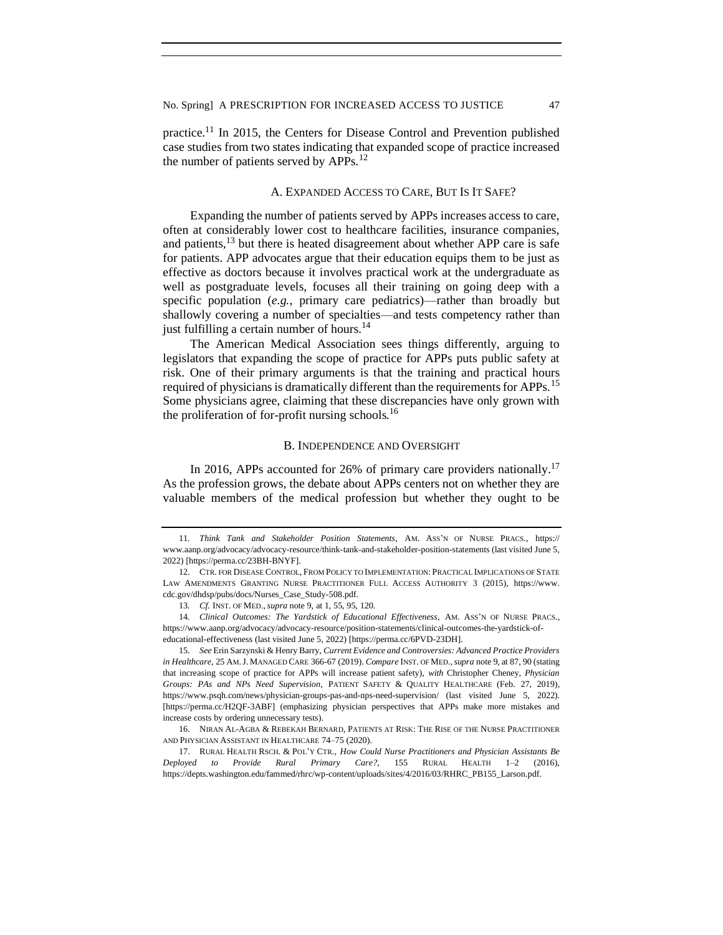practice.<sup>11</sup> In 2015, the Centers for Disease Control and Prevention published case studies from two states indicating that expanded scope of practice increased the number of patients served by APPs.<sup>12</sup>

#### A. EXPANDED ACCESS TO CARE, BUT IS IT SAFE?

Expanding the number of patients served by APPs increases access to care, often at considerably lower cost to healthcare facilities, insurance companies, and patients,  $^{13}$  but there is heated disagreement about whether APP care is safe for patients. APP advocates argue that their education equips them to be just as effective as doctors because it involves practical work at the undergraduate as well as postgraduate levels, focuses all their training on going deep with a specific population (*e.g.*, primary care pediatrics)—rather than broadly but shallowly covering a number of specialties—and tests competency rather than just fulfilling a certain number of hours.<sup>14</sup>

The American Medical Association sees things differently, arguing to legislators that expanding the scope of practice for APPs puts public safety at risk. One of their primary arguments is that the training and practical hours required of physicians is dramatically different than the requirements for APPs.<sup>15</sup> Some physicians agree, claiming that these discrepancies have only grown with the proliferation of for-profit nursing schools.<sup>16</sup>

#### <span id="page-2-1"></span><span id="page-2-0"></span>B. INDEPENDENCE AND OVERSIGHT

In 2016, APPs accounted for 26% of primary care providers nationally.<sup>17</sup> As the profession grows, the debate about APPs centers not on whether they are valuable members of the medical profession but whether they ought to be

15*. See* Erin Sarzynski & Henry Barry, *Current Evidence and Controversies: Advanced Practice Providers in Healthcare*, 25 AM.J. MANAGED CARE 366-67 (2019). *Compare* INST. OF MED.,*supra* note 9, at 87, 90 (stating that increasing scope of practice for APPs will increase patient safety), *with* Christopher Cheney, *Physician Groups: PAs and NPs Need Supervision*, PATIENT SAFETY & QUALITY HEALTHCARE (Feb. 27, 2019), https://www.psqh.com/news/physician-groups-pas-and-nps-need-supervision/ (last visited June 5, 2022). [https://perma.cc/H2QF-3ABF] (emphasizing physician perspectives that APPs make more mistakes and increase costs by ordering unnecessary tests).

16. NIRAN AL-AGBA & REBEKAH BERNARD, PATIENTS AT RISK: THE RISE OF THE NURSE PRACTITIONER AND PHYSICIAN ASSISTANT IN HEALTHCARE 74–75 (2020).

17. RURAL HEALTH RSCH. & POL'Y CTR., *How Could Nurse Practitioners and Physician Assistants Be Deployed to Provide Rural Primary Care?*, 155 RURAL HEALTH 1–2 (2016), https://depts.washington.edu/fammed/rhrc/wp-content/uploads/sites/4/2016/03/RHRC\_PB155\_Larson.pdf.

<sup>11</sup>*. Think Tank and Stakeholder Position Statements*, AM. ASS'N OF NURSE PRACS., https:// www.aanp.org/advocacy/advocacy-resource/think-tank-and-stakeholder-position-statements (last visited June 5, 2022) [https://perma.cc/23BH-BNYF].

<sup>12.</sup> CTR. FOR DISEASE CONTROL, FROM POLICY TO IMPLEMENTATION: PRACTICAL IMPLICATIONS OF STATE LAW AMENDMENTS GRANTING NURSE PRACTITIONER FULL ACCESS AUTHORITY 3 (2015), https://www. cdc.gov/dhdsp/pubs/docs/Nurses\_Case\_Study-508.pdf.

<sup>13</sup>*. Cf.* INST. OF MED.,*supra* not[e 9,](#page-1-0) at 1, 55, 95, 120.

<sup>14</sup>*. Clinical Outcomes: The Yardstick of Educational Effectiveness,* AM. ASS'N OF NURSE PRACS., https://www.aanp.org/advocacy/advocacy-resource/position-statements/clinical-outcomes-the-yardstick-ofeducational-effectiveness (last visited June 5, 2022) [https://perma.cc/6PVD-23DH].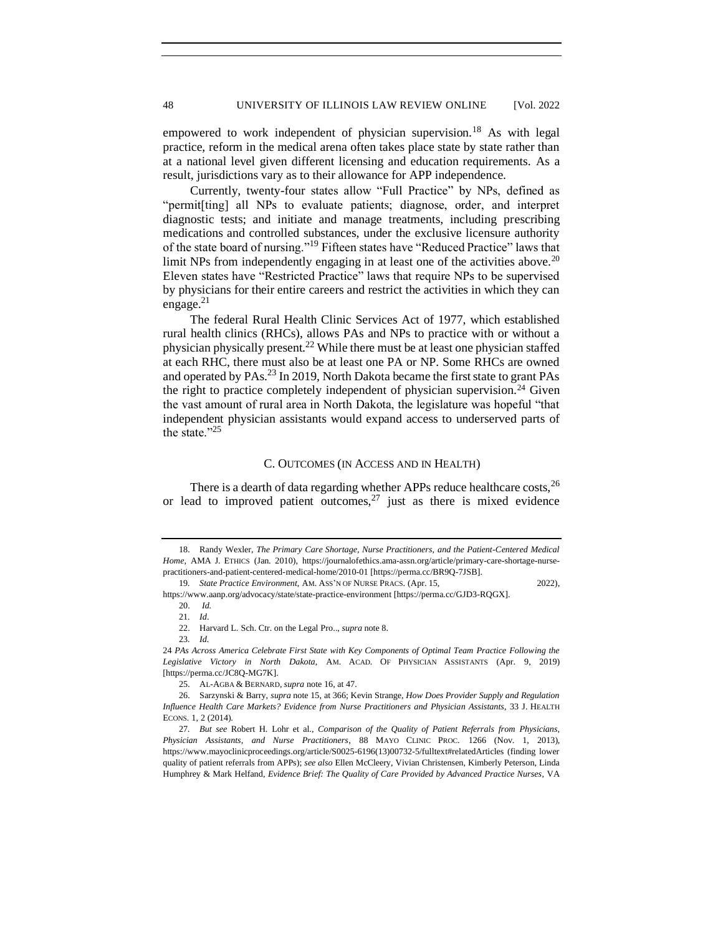empowered to work independent of physician supervision.<sup>18</sup> As with legal practice, reform in the medical arena often takes place state by state rather than at a national level given different licensing and education requirements. As a result, jurisdictions vary as to their allowance for APP independence.

Currently, twenty-four states allow "Full Practice" by NPs, defined as "permit[ting] all NPs to evaluate patients; diagnose, order, and interpret diagnostic tests; and initiate and manage treatments, including prescribing medications and controlled substances, under the exclusive licensure authority of the state board of nursing."<sup>19</sup> Fifteen states have "Reduced Practice" laws that limit NPs from independently engaging in at least one of the activities above.<sup>20</sup> Eleven states have "Restricted Practice" laws that require NPs to be supervised by physicians for their entire careers and restrict the activities in which they can engage. $^{21}$ 

The federal Rural Health Clinic Services Act of 1977, which established rural health clinics (RHCs), allows PAs and NPs to practice with or without a physician physically present.<sup>22</sup> While there must be at least one physician staffed at each RHC, there must also be at least one PA or NP. Some RHCs are owned and operated by PAs.<sup>23</sup> In 2019, North Dakota became the first state to grant PAs the right to practice completely independent of physician supervision.<sup>24</sup> Given the vast amount of rural area in North Dakota, the legislature was hopeful "that independent physician assistants would expand access to underserved parts of the state." $^{25}$ 

#### C. OUTCOMES (IN ACCESS AND IN HEALTH)

There is a dearth of data regarding whether APPs reduce healthcare costs,  $^{26}$ or lead to improved patient outcomes,  $27$  just as there is mixed evidence

https://www.aanp.org/advocacy/state/state-practice-environment [https://perma.cc/GJD3-RQGX]. 20. *Id.*

23*. Id.*

24 *PAs Across America Celebrate First State with Key Components of Optimal Team Practice Following the Legislative Victory in North Dakota*, AM. ACAD. OF PHYSICIAN ASSISTANTS (Apr. 9, 2019) [https://perma.cc/JC8Q-MG7K].

<sup>18.</sup> Randy Wexler, *The Primary Care Shortage, Nurse Practitioners, and the Patient-Centered Medical Home*, AMA J. ETHICS (Jan. 2010), https://journalofethics.ama-assn.org/article/primary-care-shortage-nursepractitioners-and-patient-centered-medical-home/2010-01 [https://perma.cc/BR9Q-7JSB].

<sup>19</sup>*. State Practice Environment*, AM. ASS'N OF NURSE PRACS. (Apr. 15, 2022),

<sup>21</sup>*. Id*.

<sup>22.</sup> Harvard L. Sch. Ctr. on the Legal Pro.., *supra* not[e 8.](#page-1-1)

<sup>25.</sup> AL-AGBA & BERNARD, *supra* not[e 16,](#page-2-0) at 47.

<sup>26.</sup> Sarzynski & Barry, *supra* not[e 15,](#page-2-1) at 366; Kevin Strange, *How Does Provider Supply and Regulation Influence Health Care Markets? Evidence from Nurse Practitioners and Physician Assistants*, 33 J. HEALTH ECONS. 1, 2 (2014).

<sup>27</sup>*. But see* Robert H. Lohr et al., *Comparison of the Quality of Patient Referrals from Physicians, Physician Assistants, and Nurse Practitioners*, 88 MAYO CLINIC PROC. 1266 (Nov. 1, 2013), https://www.mayoclinicproceedings.org/article/S0025-6196(13)00732-5/fulltext#relatedArticles (finding lower quality of patient referrals from APPs); *see also* Ellen McCleery, Vivian Christensen, Kimberly Peterson, Linda Humphrey & Mark Helfand, *Evidence Brief: The Quality of Care Provided by Advanced Practice Nurses*, VA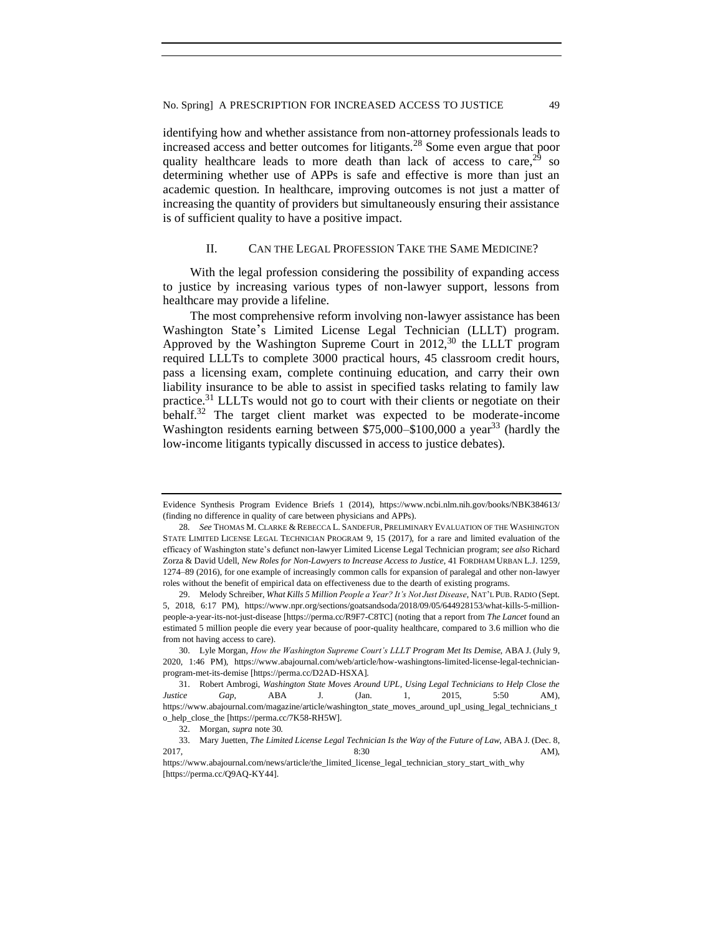identifying how and whether assistance from non-attorney professionals leads to increased access and better outcomes for litigants.<sup>28</sup> Some even argue that poor quality healthcare leads to more death than lack of access to care,  $29$  so determining whether use of APPs is safe and effective is more than just an academic question. In healthcare, improving outcomes is not just a matter of increasing the quantity of providers but simultaneously ensuring their assistance is of sufficient quality to have a positive impact.

#### II. CAN THE LEGAL PROFESSION TAKE THE SAME MEDICINE?

With the legal profession considering the possibility of expanding access to justice by increasing various types of non-lawyer support, lessons from healthcare may provide a lifeline.

The most comprehensive reform involving non-lawyer assistance has been Washington State's Limited License Legal Technician (LLLT) program. Approved by the Washington Supreme Court in  $2012<sup>30</sup>$  the LLLT program required LLLTs to complete 3000 practical hours, 45 classroom credit hours, pass a licensing exam, complete continuing education, and carry their own liability insurance to be able to assist in specified tasks relating to family law practice.<sup>31</sup> LLLTs would not go to court with their clients or negotiate on their behalf.<sup>32</sup> The target client market was expected to be moderate-income Washington residents earning between  $$75,000–$100,000$  a year<sup>33</sup> (hardly the low-income litigants typically discussed in access to justice debates).

Evidence Synthesis Program Evidence Briefs 1 (2014), https://www.ncbi.nlm.nih.gov/books/NBK384613/ (finding no difference in quality of care between physicians and APPs).

<sup>28.</sup> See THOMAS M. CLARKE & REBECCA L. SANDEFUR, PRELIMINARY EVALUATION OF THE WASHINGTON STATE LIMITED LICENSE LEGAL TECHNICIAN PROGRAM 9, 15 (2017), for a rare and limited evaluation of the efficacy of Washington state's defunct non-lawyer Limited License Legal Technician program; *see also* Richard Zorza & David Udell, *New Roles for Non-Lawyers to Increase Access to Justice*, 41 FORDHAM URBAN L.J. 1259, 1274–89 (2016), for one example of increasingly common calls for expansion of paralegal and other non-lawyer roles without the benefit of empirical data on effectiveness due to the dearth of existing programs.

<sup>29.</sup> Melody Schreiber, *What Kills 5 Million People a Year? It's Not Just Disease*, NAT'L PUB. RADIO (Sept. 5, 2018, 6:17 PM), https://www.npr.org/sections/goatsandsoda/2018/09/05/644928153/what-kills-5-millionpeople-a-year-its-not-just-disease [https://perma.cc/R9F7-C8TC] (noting that a report from *The Lancet* found an estimated 5 million people die every year because of poor-quality healthcare, compared to 3.6 million who die from not having access to care).

<sup>30.</sup> Lyle Morgan, *How the Washington Supreme Court's LLLT Program Met Its Demise*, ABA J. (July 9, 2020, 1:46 PM), https://www.abajournal.com/web/article/how-washingtons-limited-license-legal-technicianprogram-met-its-demise [https://perma.cc/D2AD-HSXA].

<sup>31.</sup> Robert Ambrogi, *Washington State Moves Around UPL, Using Legal Technicians to Help Close the Justice Gap*, ABA J. (Jan. 1, 2015, 5:50 AM), https://www.abajournal.com/magazine/article/washington\_state\_moves\_around\_upl\_using\_legal\_technicians\_t o\_help\_close\_the [https://perma.cc/7K58-RH5W].

<sup>32.</sup> Morgan, *supra* note 30.

<sup>33.</sup> Mary Juetten, *The Limited License Legal Technician Is the Way of the Future of Law*, ABA J. (Dec. 8, 2017, **8:30** AM),

https://www.abajournal.com/news/article/the\_limited\_license\_legal\_technician\_story\_start\_with\_why [https://perma.cc/Q9AQ-KY44].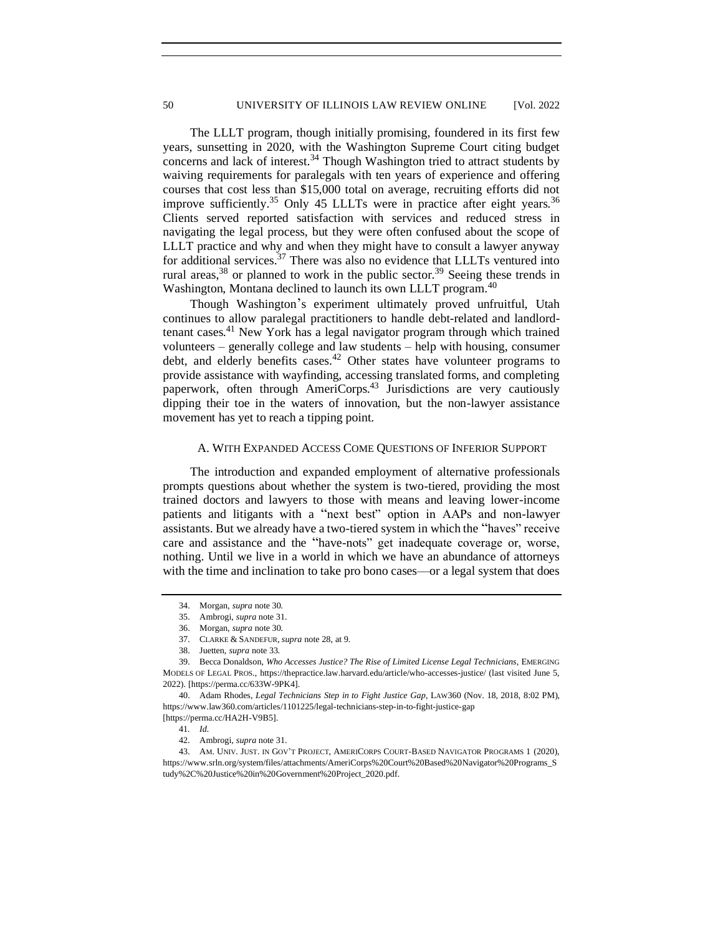The LLLT program, though initially promising, foundered in its first few years, sunsetting in 2020, with the Washington Supreme Court citing budget concerns and lack of interest. $34$  Though Washington tried to attract students by waiving requirements for paralegals with ten years of experience and offering courses that cost less than \$15,000 total on average, recruiting efforts did not improve sufficiently.<sup>35</sup> Only 45 LLLTs were in practice after eight years.<sup>36</sup> Clients served reported satisfaction with services and reduced stress in navigating the legal process, but they were often confused about the scope of LLLT practice and why and when they might have to consult a lawyer anyway for additional services.<sup>37</sup> There was also no evidence that LLLTs ventured into rural areas,<sup>38</sup> or planned to work in the public sector.<sup>39</sup> Seeing these trends in Washington, Montana declined to launch its own LLLT program.<sup>40</sup>

Though Washington's experiment ultimately proved unfruitful, Utah continues to allow paralegal practitioners to handle debt-related and landlordtenant cases.<sup>41</sup> New York has a legal navigator program through which trained volunteers – generally college and law students – help with housing, consumer debt, and elderly benefits cases.<sup>42</sup> Other states have volunteer programs to provide assistance with wayfinding, accessing translated forms, and completing paperwork, often through AmeriCorps.<sup>43</sup> Jurisdictions are very cautiously dipping their toe in the waters of innovation, but the non-lawyer assistance movement has yet to reach a tipping point.

#### A. WITH EXPANDED ACCESS COME QUESTIONS OF INFERIOR SUPPORT

The introduction and expanded employment of alternative professionals prompts questions about whether the system is two-tiered, providing the most trained doctors and lawyers to those with means and leaving lower-income patients and litigants with a "next best" option in AAPs and non-lawyer assistants. But we already have a two-tiered system in which the "haves" receive care and assistance and the "have-nots" get inadequate coverage or, worse, nothing. Until we live in a world in which we have an abundance of attorneys with the time and inclination to take pro bono cases—or a legal system that does

<sup>34.</sup> Morgan, *supra* note 30.

<sup>35.</sup> Ambrogi, *supra* note 31.

<sup>36.</sup> Morgan, *supra* note 30.

<sup>37.</sup> CLARKE & SANDEFUR, *supra* note 28, at 9.

<sup>38.</sup> Juetten, *supra* note 33.

<sup>39.</sup> Becca Donaldson, *Who Accesses Justice? The Rise of Limited License Legal Technicians*, EMERGING MODELS OF LEGAL PROS., https://thepractice.law.harvard.edu/article/who-accesses-justice/ (last visited June 5, 2022). [https://perma.cc/633W-9PK4].

<sup>40.</sup> Adam Rhodes, *Legal Technicians Step in to Fight Justice Gap*, LAW360 (Nov. 18, 2018, 8:02 PM), https://www.law360.com/articles/1101225/legal-technicians-step-in-to-fight-justice-gap [https://perma.cc/HA2H-V9B5].

<sup>41</sup>*. Id.* 

<sup>42.</sup> Ambrogi, *supra* note 31.

<sup>43.</sup> AM. UNIV. JUST. IN GOV'T PROJECT, AMERICORPS COURT-BASED NAVIGATOR PROGRAMS 1 (2020), https://www.srln.org/system/files/attachments/AmeriCorps%20Court%20Based%20Navigator%20Programs\_S tudy%2C%20Justice%20in%20Government%20Project\_2020.pdf.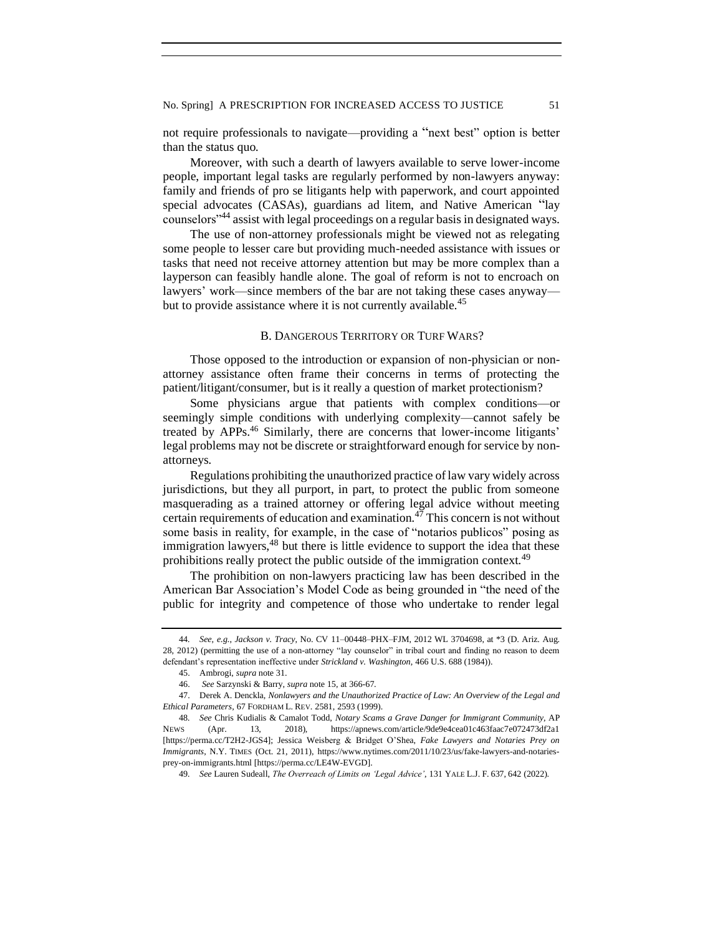No. Spring] A PRESCRIPTION FOR INCREASED ACCESS TO JUSTICE 51

not require professionals to navigate—providing a "next best" option is better than the status quo.

Moreover, with such a dearth of lawyers available to serve lower-income people, important legal tasks are regularly performed by non-lawyers anyway: family and friends of pro se litigants help with paperwork, and court appointed special advocates (CASAs), guardians ad litem, and Native American "lay counselors"<sup>44</sup> assist with legal proceedings on a regular basis in designated ways.

The use of non-attorney professionals might be viewed not as relegating some people to lesser care but providing much-needed assistance with issues or tasks that need not receive attorney attention but may be more complex than a layperson can feasibly handle alone. The goal of reform is not to encroach on lawyers' work—since members of the bar are not taking these cases anyway but to provide assistance where it is not currently available.<sup>45</sup>

#### B. DANGEROUS TERRITORY OR TURF WARS?

Those opposed to the introduction or expansion of non-physician or nonattorney assistance often frame their concerns in terms of protecting the patient/litigant/consumer, but is it really a question of market protectionism?

Some physicians argue that patients with complex conditions—or seemingly simple conditions with underlying complexity—cannot safely be treated by APPs.<sup>46</sup> Similarly, there are concerns that lower-income litigants' legal problems may not be discrete or straightforward enough for service by nonattorneys.

Regulations prohibiting the unauthorized practice of law vary widely across jurisdictions, but they all purport, in part, to protect the public from someone masquerading as a trained attorney or offering legal advice without meeting certain requirements of education and examination.<sup>47</sup> This concern is not without some basis in reality, for example, in the case of "notarios publicos" posing as immigration lawyers, $48$  but there is little evidence to support the idea that these prohibitions really protect the public outside of the immigration context.<sup>49</sup>

The prohibition on non-lawyers practicing law has been described in the American Bar Association's Model Code as being grounded in "the need of the public for integrity and competence of those who undertake to render legal

<sup>44</sup>*. See, e.g.*, *Jackson v. Tracy*, No. CV 11–00448–PHX–FJM, 2012 WL 3704698, at \*3 (D. Ariz. Aug. 28, 2012) (permitting the use of a non-attorney "lay counselor" in tribal court and finding no reason to deem defendant's representation ineffective under *Strickland v. Washington*, 466 U.S. 688 (1984)).

<sup>45.</sup> Ambrogi, *supra* note 31.

<sup>46.</sup> *See* Sarzynski & Barry, *supra* note 15, at 366-67.

<sup>47.</sup> Derek A. Denckla, *Nonlawyers and the Unauthorized Practice of Law: An Overview of the Legal and Ethical Parameters*, 67 FORDHAM L. REV. 2581, 2593 (1999).

<sup>48</sup>*. See* Chris Kudialis & Camalot Todd, *Notary Scams a Grave Danger for Immigrant Community*, AP NEWS (Apr. 13, 2018), https://apnews.com/article/9de9e4cea01c463faac7e072473df2a1 [https://perma.cc/T2H2-JGS4]; Jessica Weisberg & Bridget O'Shea, *Fake Lawyers and Notaries Prey on Immigrants*, N.Y. TIMES (Oct. 21, 2011), https://www.nytimes.com/2011/10/23/us/fake-lawyers-and-notariesprey-on-immigrants.html [https://perma.cc/LE4W-EVGD].

<sup>49</sup>*. See* Lauren Sudeall, *The Overreach of Limits on 'Legal Advice'*, 131 YALE L.J. F. 637, 642 (2022).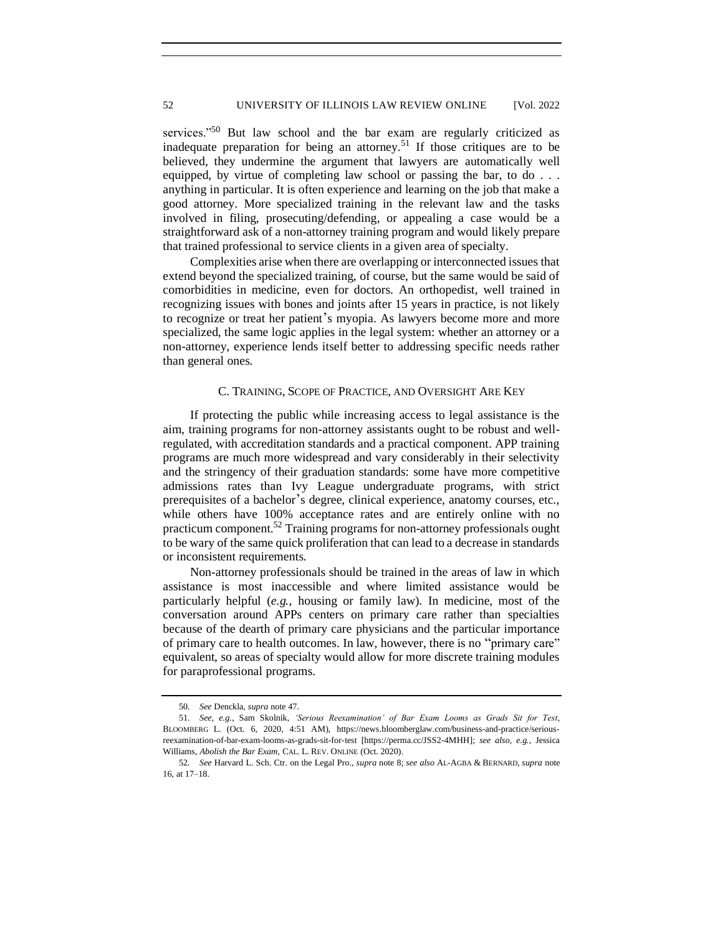services."<sup>50</sup> But law school and the bar exam are regularly criticized as inadequate preparation for being an attorney.<sup>51</sup> If those critiques are to be believed, they undermine the argument that lawyers are automatically well equipped, by virtue of completing law school or passing the bar, to do . . . anything in particular. It is often experience and learning on the job that make a good attorney. More specialized training in the relevant law and the tasks involved in filing, prosecuting/defending, or appealing a case would be a straightforward ask of a non-attorney training program and would likely prepare that trained professional to service clients in a given area of specialty.

Complexities arise when there are overlapping or interconnected issues that extend beyond the specialized training, of course, but the same would be said of comorbidities in medicine, even for doctors. An orthopedist, well trained in recognizing issues with bones and joints after 15 years in practice, is not likely to recognize or treat her patient's myopia. As lawyers become more and more specialized, the same logic applies in the legal system: whether an attorney or a non-attorney, experience lends itself better to addressing specific needs rather than general ones.

#### C. TRAINING, SCOPE OF PRACTICE, AND OVERSIGHT ARE KEY

If protecting the public while increasing access to legal assistance is the aim, training programs for non-attorney assistants ought to be robust and wellregulated, with accreditation standards and a practical component. APP training programs are much more widespread and vary considerably in their selectivity and the stringency of their graduation standards: some have more competitive admissions rates than Ivy League undergraduate programs, with strict prerequisites of a bachelor's degree, clinical experience, anatomy courses, etc., while others have 100% acceptance rates and are entirely online with no practicum component.<sup>52</sup> Training programs for non-attorney professionals ought to be wary of the same quick proliferation that can lead to a decrease in standards or inconsistent requirements.

Non-attorney professionals should be trained in the areas of law in which assistance is most inaccessible and where limited assistance would be particularly helpful (*e.g.*, housing or family law). In medicine, most of the conversation around APPs centers on primary care rather than specialties because of the dearth of primary care physicians and the particular importance of primary care to health outcomes. In law, however, there is no "primary care" equivalent, so areas of specialty would allow for more discrete training modules for paraprofessional programs.

<sup>50</sup>*. See* Denckla, *supra* note 47.

<sup>51</sup>*. See, e.g.*, Sam Skolnik, *'Serious Reexamination' of Bar Exam Looms as Grads Sit for Test*, BLOOMBERG L. (Oct. 6, 2020, 4:51 AM), https://news.bloomberglaw.com/business-and-practice/seriousreexamination-of-bar-exam-looms-as-grads-sit-for-test [https://perma.cc/JSS2-4MHH]; *see also, e.g.*, Jessica Williams, *Abolish the Bar Exam*, CAL. L. REV. ONLINE (Oct. 2020).

<sup>52</sup>*. See* Harvard L. Sch. Ctr. on the Legal Pro., *supra* note [8;](#page-1-1) *see also* AL-AGBA & BERNARD, *supra* note [16,](#page-2-0) at 17–18.